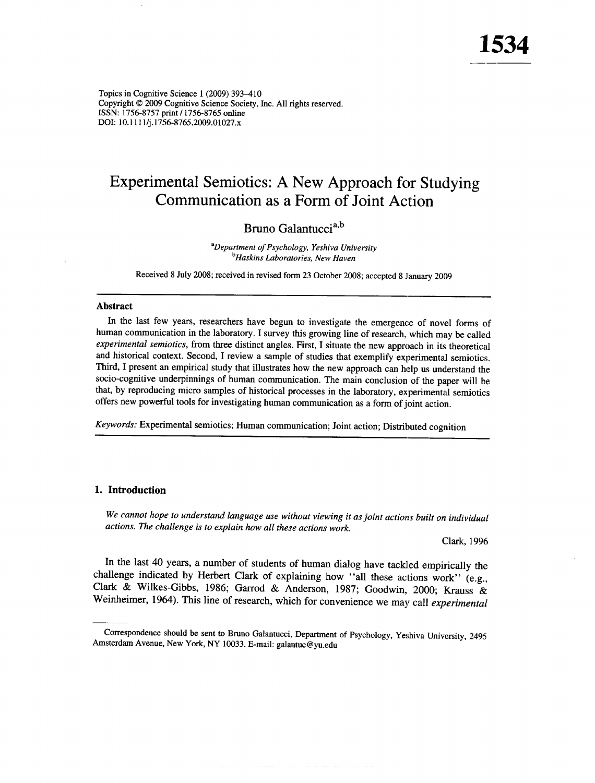Topics in Cognitive Science 1 (2009) 393-410 Copyright © 2009 Cognitive Science Society, Inc. All rights reserved. ISSN: 1756-8757 print / 1756-8765 online DOI: 10.1111/j.1756-8765.2009.01027.x

# Experimental Semiotics: A New Approach for Studying Communication as a Form of Joint Action

# Bruno Galantucci<sup>a,b</sup>

<sup>a</sup>Department of Psychology, Yeshiva University <sup>b</sup>Haskins Laboratories, New Haven

Received 8 July 2008; received in revised form 23 October 2008; accepted 8 January 2009

#### **Abstract**

In the last few years, researchers have begun to investigate the emergence of novel forms of human communication in the laboratory. I survey this growing line of research, which may be called experimental semiotics, from three distinct angles. First, I situate the new approach in its theoretical and historical context. Second, I review a sample of studies that exemplify experimental semiotics. Third, I present an empirical study that illustrates how the new approach can help us understand the socio-cognitive underpinnings of human communication. The main conclusion of the paper will be that, by reproducing micro samples of historical processes in the laboratory, experimental semiotics offers new powerful tools for investigating human communication as a form of joint action.

Keywords: Experimental semiotics; Human communication; Joint action; Distributed cognition

#### 1. Introduction

We cannot hope to understand language use without viewing it as joint actions built on individual actions. The challenge is to explain how all these actions work.

Clark, 1996

In the last 40 years, a number of students of human dialog have tackled empirically the challenge indicated by Herbert Clark of explaining how "all these actions work" (e.g., Clark & Wilkes-Gibbs, 1986; Garrod & Anderson, 1987; Goodwin, 2000; Krauss & Weinheimer, 1964). This line of research, which for convenience we may call experimental

Correspondence should be sent to Bruno Galantucci, Department of Psychology, Yeshiva University, 2495 Amsterdam Avenue, New York, NY 10033. E-mail: galantuc@yu.edu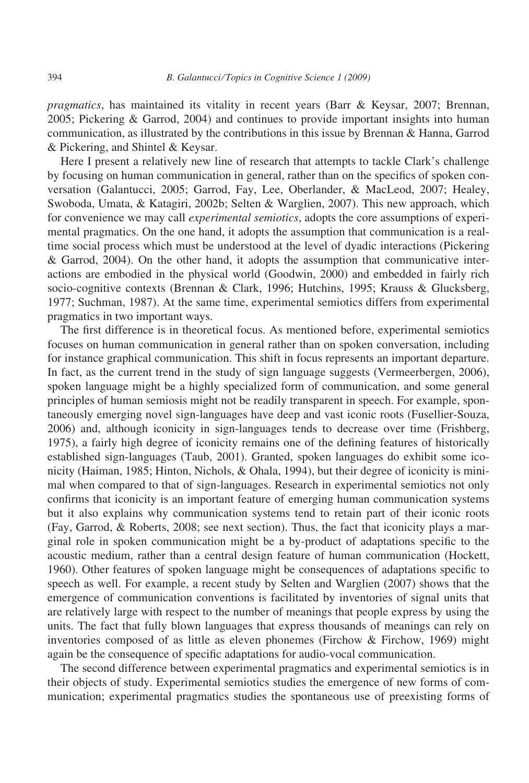pragmatics, has maintained its vitality in recent years (Barr & Keysar, 2007; Brennan, 2005; Pickering & Garrod, 2004) and continues to provide important insights into human communication, as illustrated by the contributions in this issue by Brennan & Hanna, Garrod & Pickering, and Shintel & Keysar.

Here I present a relatively new line of research that attempts to tackle Clark's challenge by focusing on human communication in general, rather than on the specifics of spoken conversation (Galantucci, 2005; Garrod, Fay, Lee, Oberlander, & MacLeod, 2007; Healey, Swoboda, Umata, & Katagiri, 2002b; Selten & Warglien, 2007). This new approach, which for convenience we may call *experimental semiotics*, adopts the core assumptions of experimental pragmatics. On the one hand, it adopts the assumption that communication is a realtime social process which must be understood at the level of dyadic interactions (Pickering & Garrod, 2004). On the other hand, it adopts the assumption that communicative interactions are embodied in the physical world (Goodwin, 2000) and embedded in fairly rich socio-cognitive contexts (Brennan & Clark, 1996; Hutchins, 1995; Krauss & Glucksberg, 1977; Suchman, 1987). At the same time, experimental semiotics differs from experimental pragmatics in two important ways.

The first difference is in theoretical focus. As mentioned before, experimental semiotics focuses on human communication in general rather than on spoken conversation, including for instance graphical communication. This shift in focus represents an important departure. In fact, as the current trend in the study of sign language suggests (Vermeerbergen, 2006), spoken language might be a highly specialized form of communication, and some general principles of human semiosis might not be readily transparent in speech. For example, spontaneously emerging novel sign-languages have deep and vast iconic roots (Fusellier-Souza, 2006) and, although iconicity in sign-languages tends to decrease over time (Frishberg, 1975), a fairly high degree of iconicity remains one of the defining features of historically established sign-languages (Taub, 2001). Granted, spoken languages do exhibit some iconicity (Haiman, 1985; Hinton, Nichols, & Ohala, 1994), but their degree of iconicity is minimal when compared to that of sign-languages. Research in experimental semiotics not only confirms that iconicity is an important feature of emerging human communication systems but it also explains why communication systems tend to retain part of their iconic roots (Fay, Garrod, & Roberts, 2008; see next section). Thus, the fact that iconicity plays a marginal role in spoken communication might be a by-product of adaptations specific to the acoustic medium, rather than a central design feature of human communication (Hockett, 1960). Other features of spoken language might be consequences of adaptations specific to speech as well. For example, a recent study by Selten and Warglien (2007) shows that the emergence of communication conventions is facilitated by inventories of signal units that are relatively large with respect to the number of meanings that people express by using the units. The fact that fully blown languages that express thousands of meanings can rely on inventories composed of as little as eleven phonemes (Firchow & Firchow, 1969) might again be the consequence of specific adaptations for audio-vocal communication.

The second difference between experimental pragmatics and experimental semiotics is in their objects of study. Experimental semiotics studies the emergence of new forms of communication; experimental pragmatics studies the spontaneous use of preexisting forms of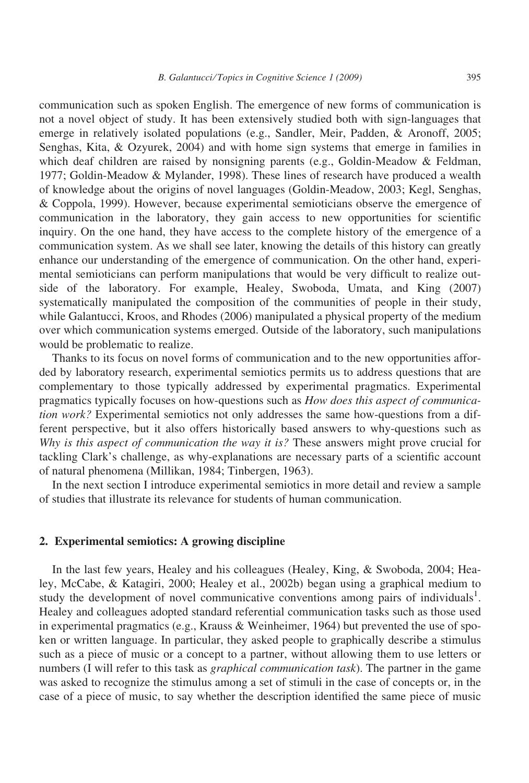communication such as spoken English. The emergence of new forms of communication is not a novel object of study. It has been extensively studied both with sign-languages that emerge in relatively isolated populations (e.g., Sandler, Meir, Padden, & Aronoff, 2005; Senghas, Kita, & Ozyurek, 2004) and with home sign systems that emerge in families in which deaf children are raised by nonsigning parents (e.g., Goldin-Meadow & Feldman, 1977; Goldin-Meadow & Mylander, 1998). These lines of research have produced a wealth of knowledge about the origins of novel languages (Goldin-Meadow, 2003; Kegl, Senghas, & Coppola, 1999). However, because experimental semioticians observe the emergence of communication in the laboratory, they gain access to new opportunities for scientific inquiry. On the one hand, they have access to the complete history of the emergence of a communication system. As we shall see later, knowing the details of this history can greatly enhance our understanding of the emergence of communication. On the other hand, experimental semioticians can perform manipulations that would be very difficult to realize outside of the laboratory. For example, Healey, Swoboda, Umata, and King (2007) systematically manipulated the composition of the communities of people in their study, while Galantucci, Kroos, and Rhodes (2006) manipulated a physical property of the medium over which communication systems emerged. Outside of the laboratory, such manipulations would be problematic to realize.

Thanks to its focus on novel forms of communication and to the new opportunities afforded by laboratory research, experimental semiotics permits us to address questions that are complementary to those typically addressed by experimental pragmatics. Experimental pragmatics typically focuses on how-questions such as How does this aspect of communication work? Experimental semiotics not only addresses the same how-questions from a different perspective, but it also offers historically based answers to why-questions such as Why is this aspect of communication the way it is? These answers might prove crucial for tackling Clark's challenge, as why-explanations are necessary parts of a scientific account of natural phenomena (Millikan, 1984; Tinbergen, 1963).

In the next section I introduce experimental semiotics in more detail and review a sample of studies that illustrate its relevance for students of human communication.

# 2. Experimental semiotics: A growing discipline

In the last few years, Healey and his colleagues (Healey, King, & Swoboda, 2004; Healey, McCabe, & Katagiri, 2000; Healey et al., 2002b) began using a graphical medium to study the development of novel communicative conventions among pairs of individuals<sup>1</sup>. Healey and colleagues adopted standard referential communication tasks such as those used in experimental pragmatics (e.g., Krauss & Weinheimer, 1964) but prevented the use of spoken or written language. In particular, they asked people to graphically describe a stimulus such as a piece of music or a concept to a partner, without allowing them to use letters or numbers (I will refer to this task as *graphical communication task*). The partner in the game was asked to recognize the stimulus among a set of stimuli in the case of concepts or, in the case of a piece of music, to say whether the description identified the same piece of music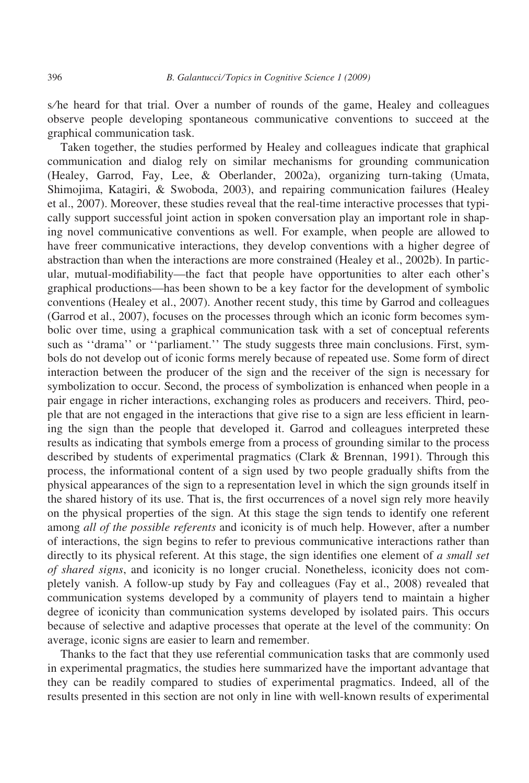s/he heard for that trial. Over a number of rounds of the game, Healey and colleagues observe people developing spontaneous communicative conventions to succeed at the graphical communication task.

Taken together, the studies performed by Healey and colleagues indicate that graphical communication and dialog rely on similar mechanisms for grounding communication (Healey, Garrod, Fay, Lee, & Oberlander, 2002a), organizing turn-taking (Umata, Shimojima, Katagiri, & Swoboda, 2003), and repairing communication failures (Healey et al., 2007). Moreover, these studies reveal that the real-time interactive processes that typically support successful joint action in spoken conversation play an important role in shaping novel communicative conventions as well. For example, when people are allowed to have freer communicative interactions, they develop conventions with a higher degree of abstraction than when the interactions are more constrained (Healey et al., 2002b). In particular, mutual-modifiability—the fact that people have opportunities to alter each other's graphical productions—has been shown to be a key factor for the development of symbolic conventions (Healey et al., 2007). Another recent study, this time by Garrod and colleagues (Garrod et al., 2007), focuses on the processes through which an iconic form becomes symbolic over time, using a graphical communication task with a set of conceptual referents such as "drama" or "parliament." The study suggests three main conclusions. First, symbols do not develop out of iconic forms merely because of repeated use. Some form of direct interaction between the producer of the sign and the receiver of the sign is necessary for symbolization to occur. Second, the process of symbolization is enhanced when people in a pair engage in richer interactions, exchanging roles as producers and receivers. Third, people that are not engaged in the interactions that give rise to a sign are less efficient in learning the sign than the people that developed it. Garrod and colleagues interpreted these results as indicating that symbols emerge from a process of grounding similar to the process described by students of experimental pragmatics (Clark & Brennan, 1991). Through this process, the informational content of a sign used by two people gradually shifts from the physical appearances of the sign to a representation level in which the sign grounds itself in the shared history of its use. That is, the first occurrences of a novel sign rely more heavily on the physical properties of the sign. At this stage the sign tends to identify one referent among all of the possible referents and iconicity is of much help. However, after a number of interactions, the sign begins to refer to previous communicative interactions rather than directly to its physical referent. At this stage, the sign identifies one element of a small set of shared signs, and iconicity is no longer crucial. Nonetheless, iconicity does not completely vanish. A follow-up study by Fay and colleagues (Fay et al., 2008) revealed that communication systems developed by a community of players tend to maintain a higher degree of iconicity than communication systems developed by isolated pairs. This occurs because of selective and adaptive processes that operate at the level of the community: On average, iconic signs are easier to learn and remember.

Thanks to the fact that they use referential communication tasks that are commonly used in experimental pragmatics, the studies here summarized have the important advantage that they can be readily compared to studies of experimental pragmatics. Indeed, all of the results presented in this section are not only in line with well-known results of experimental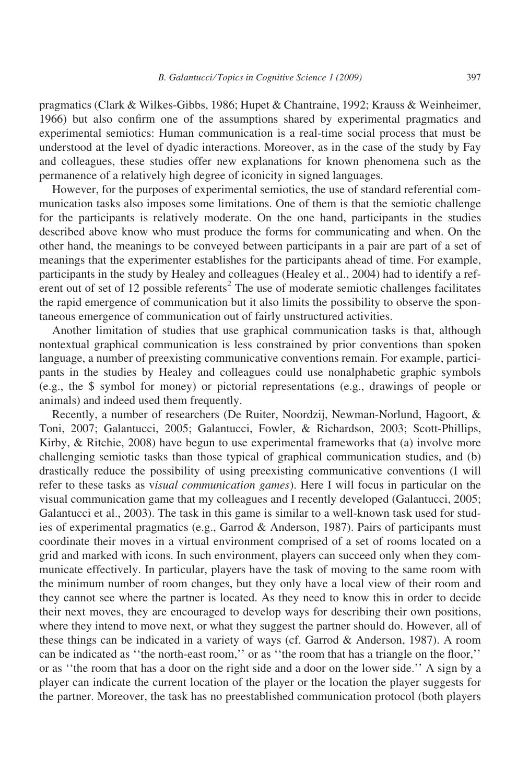pragmatics (Clark & Wilkes-Gibbs, 1986; Hupet & Chantraine, 1992; Krauss & Weinheimer, 1966) but also confirm one of the assumptions shared by experimental pragmatics and experimental semiotics: Human communication is a real-time social process that must be understood at the level of dyadic interactions. Moreover, as in the case of the study by Fay and colleagues, these studies offer new explanations for known phenomena such as the permanence of a relatively high degree of iconicity in signed languages.

However, for the purposes of experimental semiotics, the use of standard referential communication tasks also imposes some limitations. One of them is that the semiotic challenge for the participants is relatively moderate. On the one hand, participants in the studies described above know who must produce the forms for communicating and when. On the other hand, the meanings to be conveyed between participants in a pair are part of a set of meanings that the experimenter establishes for the participants ahead of time. For example, participants in the study by Healey and colleagues (Healey et al., 2004) had to identify a referent out of set of 12 possible referents<sup>2</sup> The use of moderate semiotic challenges facilitates the rapid emergence of communication but it also limits the possibility to observe the spontaneous emergence of communication out of fairly unstructured activities.

Another limitation of studies that use graphical communication tasks is that, although nontextual graphical communication is less constrained by prior conventions than spoken language, a number of preexisting communicative conventions remain. For example, participants in the studies by Healey and colleagues could use nonalphabetic graphic symbols (e.g., the \$ symbol for money) or pictorial representations (e.g., drawings of people or animals) and indeed used them frequently.

Recently, a number of researchers (De Ruiter, Noordzij, Newman-Norlund, Hagoort, & Toni, 2007; Galantucci, 2005; Galantucci, Fowler, & Richardson, 2003; Scott-Phillips, Kirby, & Ritchie, 2008) have begun to use experimental frameworks that (a) involve more challenging semiotic tasks than those typical of graphical communication studies, and (b) drastically reduce the possibility of using preexisting communicative conventions (I will refer to these tasks as visual communication games). Here I will focus in particular on the visual communication game that my colleagues and I recently developed (Galantucci, 2005; Galantucci et al., 2003). The task in this game is similar to a well-known task used for studies of experimental pragmatics (e.g., Garrod & Anderson, 1987). Pairs of participants must coordinate their moves in a virtual environment comprised of a set of rooms located on a grid and marked with icons. In such environment, players can succeed only when they communicate effectively. In particular, players have the task of moving to the same room with the minimum number of room changes, but they only have a local view of their room and they cannot see where the partner is located. As they need to know this in order to decide their next moves, they are encouraged to develop ways for describing their own positions, where they intend to move next, or what they suggest the partner should do. However, all of these things can be indicated in a variety of ways (cf. Garrod & Anderson, 1987). A room can be indicated as ''the north-east room,'' or as ''the room that has a triangle on the floor,'' or as ''the room that has a door on the right side and a door on the lower side.'' A sign by a player can indicate the current location of the player or the location the player suggests for the partner. Moreover, the task has no preestablished communication protocol (both players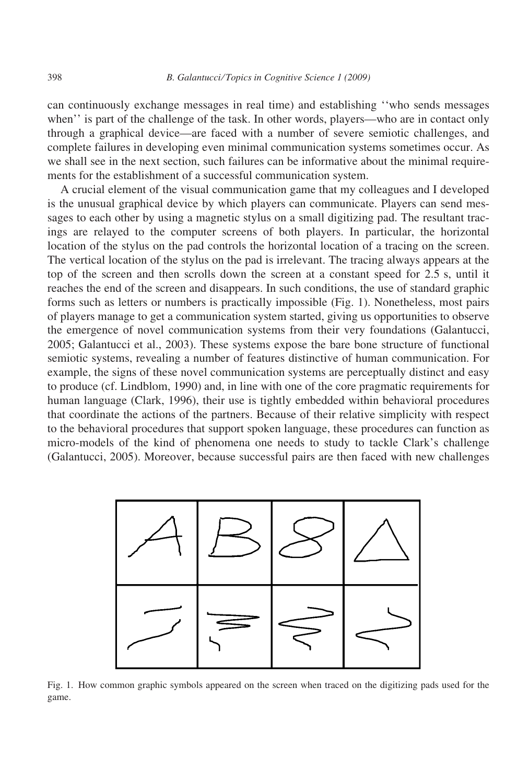can continuously exchange messages in real time) and establishing ''who sends messages when'' is part of the challenge of the task. In other words, players—who are in contact only through a graphical device—are faced with a number of severe semiotic challenges, and complete failures in developing even minimal communication systems sometimes occur. As we shall see in the next section, such failures can be informative about the minimal requirements for the establishment of a successful communication system.

A crucial element of the visual communication game that my colleagues and I developed is the unusual graphical device by which players can communicate. Players can send messages to each other by using a magnetic stylus on a small digitizing pad. The resultant tracings are relayed to the computer screens of both players. In particular, the horizontal location of the stylus on the pad controls the horizontal location of a tracing on the screen. The vertical location of the stylus on the pad is irrelevant. The tracing always appears at the top of the screen and then scrolls down the screen at a constant speed for 2.5 s, until it reaches the end of the screen and disappears. In such conditions, the use of standard graphic forms such as letters or numbers is practically impossible (Fig. 1). Nonetheless, most pairs of players manage to get a communication system started, giving us opportunities to observe the emergence of novel communication systems from their very foundations (Galantucci, 2005; Galantucci et al., 2003). These systems expose the bare bone structure of functional semiotic systems, revealing a number of features distinctive of human communication. For example, the signs of these novel communication systems are perceptually distinct and easy to produce (cf. Lindblom, 1990) and, in line with one of the core pragmatic requirements for human language (Clark, 1996), their use is tightly embedded within behavioral procedures that coordinate the actions of the partners. Because of their relative simplicity with respect to the behavioral procedures that support spoken language, these procedures can function as micro-models of the kind of phenomena one needs to study to tackle Clark's challenge (Galantucci, 2005). Moreover, because successful pairs are then faced with new challenges

| ≡ |  |
|---|--|

Fig. 1. How common graphic symbols appeared on the screen when traced on the digitizing pads used for the game.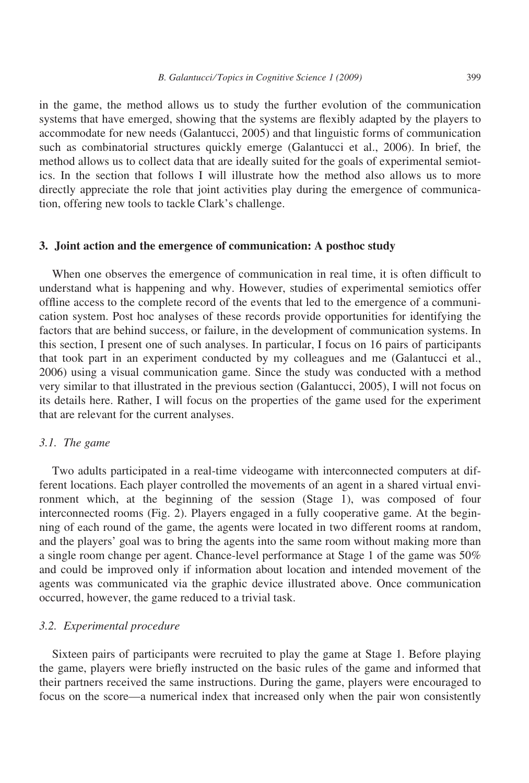in the game, the method allows us to study the further evolution of the communication systems that have emerged, showing that the systems are flexibly adapted by the players to accommodate for new needs (Galantucci, 2005) and that linguistic forms of communication such as combinatorial structures quickly emerge (Galantucci et al., 2006). In brief, the method allows us to collect data that are ideally suited for the goals of experimental semiotics. In the section that follows I will illustrate how the method also allows us to more directly appreciate the role that joint activities play during the emergence of communication, offering new tools to tackle Clark's challenge.

#### 3. Joint action and the emergence of communication: A posthoc study

When one observes the emergence of communication in real time, it is often difficult to understand what is happening and why. However, studies of experimental semiotics offer offline access to the complete record of the events that led to the emergence of a communication system. Post hoc analyses of these records provide opportunities for identifying the factors that are behind success, or failure, in the development of communication systems. In this section, I present one of such analyses. In particular, I focus on 16 pairs of participants that took part in an experiment conducted by my colleagues and me (Galantucci et al., 2006) using a visual communication game. Since the study was conducted with a method very similar to that illustrated in the previous section (Galantucci, 2005), I will not focus on its details here. Rather, I will focus on the properties of the game used for the experiment that are relevant for the current analyses.

#### 3.1. The game

Two adults participated in a real-time videogame with interconnected computers at different locations. Each player controlled the movements of an agent in a shared virtual environment which, at the beginning of the session (Stage 1), was composed of four interconnected rooms (Fig. 2). Players engaged in a fully cooperative game. At the beginning of each round of the game, the agents were located in two different rooms at random, and the players' goal was to bring the agents into the same room without making more than a single room change per agent. Chance-level performance at Stage 1 of the game was 50% and could be improved only if information about location and intended movement of the agents was communicated via the graphic device illustrated above. Once communication occurred, however, the game reduced to a trivial task.

#### 3.2. Experimental procedure

Sixteen pairs of participants were recruited to play the game at Stage 1. Before playing the game, players were briefly instructed on the basic rules of the game and informed that their partners received the same instructions. During the game, players were encouraged to focus on the score—a numerical index that increased only when the pair won consistently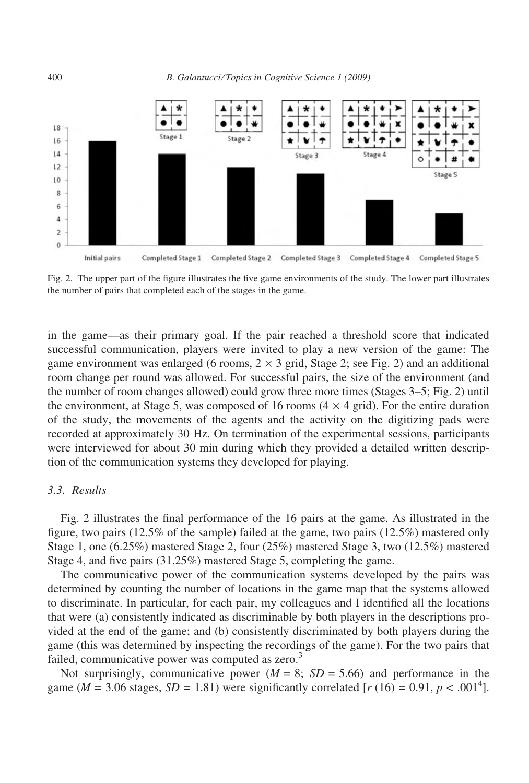

Fig. 2. The upper part of the figure illustrates the five game environments of the study. The lower part illustrates the number of pairs that completed each of the stages in the game.

in the game—as their primary goal. If the pair reached a threshold score that indicated successful communication, players were invited to play a new version of the game: The game environment was enlarged (6 rooms,  $2 \times 3$  grid, Stage 2; see Fig. 2) and an additional room change per round was allowed. For successful pairs, the size of the environment (and the number of room changes allowed) could grow three more times (Stages 3–5; Fig. 2) until the environment, at Stage 5, was composed of 16 rooms ( $4 \times 4$  grid). For the entire duration of the study, the movements of the agents and the activity on the digitizing pads were recorded at approximately 30 Hz. On termination of the experimental sessions, participants were interviewed for about 30 min during which they provided a detailed written description of the communication systems they developed for playing.

# 3.3. Results

Fig. 2 illustrates the final performance of the 16 pairs at the game. As illustrated in the figure, two pairs (12.5% of the sample) failed at the game, two pairs (12.5%) mastered only Stage 1, one (6.25%) mastered Stage 2, four (25%) mastered Stage 3, two (12.5%) mastered Stage 4, and five pairs (31.25%) mastered Stage 5, completing the game.

The communicative power of the communication systems developed by the pairs was determined by counting the number of locations in the game map that the systems allowed to discriminate. In particular, for each pair, my colleagues and I identified all the locations that were (a) consistently indicated as discriminable by both players in the descriptions provided at the end of the game; and (b) consistently discriminated by both players during the game (this was determined by inspecting the recordings of the game). For the two pairs that failed, communicative power was computed as zero.<sup>3</sup>

Not surprisingly, communicative power ( $M = 8$ ;  $SD = 5.66$ ) and performance in the game ( $M = 3.06$  stages,  $SD = 1.81$ ) were significantly correlated [ $r(16) = 0.91$ ,  $p < .001<sup>4</sup>$ ].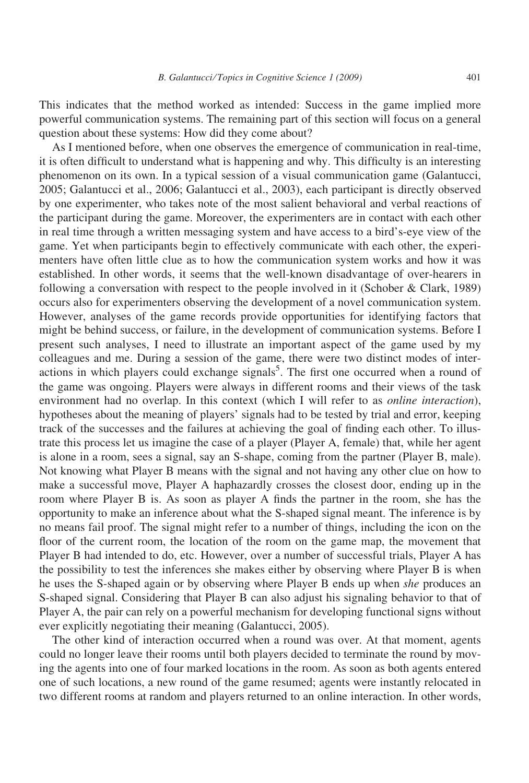This indicates that the method worked as intended: Success in the game implied more powerful communication systems. The remaining part of this section will focus on a general question about these systems: How did they come about?

As I mentioned before, when one observes the emergence of communication in real-time, it is often difficult to understand what is happening and why. This difficulty is an interesting phenomenon on its own. In a typical session of a visual communication game (Galantucci, 2005; Galantucci et al., 2006; Galantucci et al., 2003), each participant is directly observed by one experimenter, who takes note of the most salient behavioral and verbal reactions of the participant during the game. Moreover, the experimenters are in contact with each other in real time through a written messaging system and have access to a bird's-eye view of the game. Yet when participants begin to effectively communicate with each other, the experimenters have often little clue as to how the communication system works and how it was established. In other words, it seems that the well-known disadvantage of over-hearers in following a conversation with respect to the people involved in it (Schober & Clark, 1989) occurs also for experimenters observing the development of a novel communication system. However, analyses of the game records provide opportunities for identifying factors that might be behind success, or failure, in the development of communication systems. Before I present such analyses, I need to illustrate an important aspect of the game used by my colleagues and me. During a session of the game, there were two distinct modes of interactions in which players could exchange signals<sup>5</sup>. The first one occurred when a round of the game was ongoing. Players were always in different rooms and their views of the task environment had no overlap. In this context (which I will refer to as *online interaction*), hypotheses about the meaning of players' signals had to be tested by trial and error, keeping track of the successes and the failures at achieving the goal of finding each other. To illustrate this process let us imagine the case of a player (Player A, female) that, while her agent is alone in a room, sees a signal, say an S-shape, coming from the partner (Player B, male). Not knowing what Player B means with the signal and not having any other clue on how to make a successful move, Player A haphazardly crosses the closest door, ending up in the room where Player B is. As soon as player A finds the partner in the room, she has the opportunity to make an inference about what the S-shaped signal meant. The inference is by no means fail proof. The signal might refer to a number of things, including the icon on the floor of the current room, the location of the room on the game map, the movement that Player B had intended to do, etc. However, over a number of successful trials, Player A has the possibility to test the inferences she makes either by observing where Player B is when he uses the S-shaped again or by observing where Player B ends up when she produces an S-shaped signal. Considering that Player B can also adjust his signaling behavior to that of Player A, the pair can rely on a powerful mechanism for developing functional signs without ever explicitly negotiating their meaning (Galantucci, 2005).

The other kind of interaction occurred when a round was over. At that moment, agents could no longer leave their rooms until both players decided to terminate the round by moving the agents into one of four marked locations in the room. As soon as both agents entered one of such locations, a new round of the game resumed; agents were instantly relocated in two different rooms at random and players returned to an online interaction. In other words,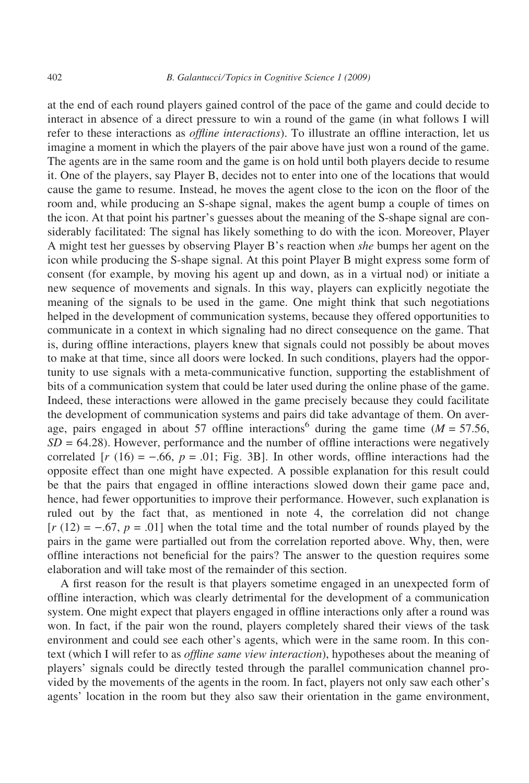at the end of each round players gained control of the pace of the game and could decide to interact in absence of a direct pressure to win a round of the game (in what follows I will refer to these interactions as *offline interactions*). To illustrate an offline interaction, let us imagine a moment in which the players of the pair above have just won a round of the game. The agents are in the same room and the game is on hold until both players decide to resume it. One of the players, say Player B, decides not to enter into one of the locations that would cause the game to resume. Instead, he moves the agent close to the icon on the floor of the room and, while producing an S-shape signal, makes the agent bump a couple of times on the icon. At that point his partner's guesses about the meaning of the S-shape signal are considerably facilitated: The signal has likely something to do with the icon. Moreover, Player A might test her guesses by observing Player B's reaction when she bumps her agent on the icon while producing the S-shape signal. At this point Player B might express some form of consent (for example, by moving his agent up and down, as in a virtual nod) or initiate a new sequence of movements and signals. In this way, players can explicitly negotiate the meaning of the signals to be used in the game. One might think that such negotiations helped in the development of communication systems, because they offered opportunities to communicate in a context in which signaling had no direct consequence on the game. That is, during offline interactions, players knew that signals could not possibly be about moves to make at that time, since all doors were locked. In such conditions, players had the opportunity to use signals with a meta-communicative function, supporting the establishment of bits of a communication system that could be later used during the online phase of the game. Indeed, these interactions were allowed in the game precisely because they could facilitate the development of communication systems and pairs did take advantage of them. On average, pairs engaged in about 57 offline interactions<sup>6</sup> during the game time ( $M = 57.56$ ,  $SD = 64.28$ ). However, performance and the number of offline interactions were negatively correlated  $[r (16) = -.66, p = .01; Fig. 3B]$ . In other words, offline interactions had the opposite effect than one might have expected. A possible explanation for this result could be that the pairs that engaged in offline interactions slowed down their game pace and, hence, had fewer opportunities to improve their performance. However, such explanation is ruled out by the fact that, as mentioned in note 4, the correlation did not change  $[r(12) = -.67, p = .01]$  when the total time and the total number of rounds played by the pairs in the game were partialled out from the correlation reported above. Why, then, were offline interactions not beneficial for the pairs? The answer to the question requires some elaboration and will take most of the remainder of this section.

A first reason for the result is that players sometime engaged in an unexpected form of offline interaction, which was clearly detrimental for the development of a communication system. One might expect that players engaged in offline interactions only after a round was won. In fact, if the pair won the round, players completely shared their views of the task environment and could see each other's agents, which were in the same room. In this context (which I will refer to as *offline same view interaction*), hypotheses about the meaning of players' signals could be directly tested through the parallel communication channel provided by the movements of the agents in the room. In fact, players not only saw each other's agents' location in the room but they also saw their orientation in the game environment,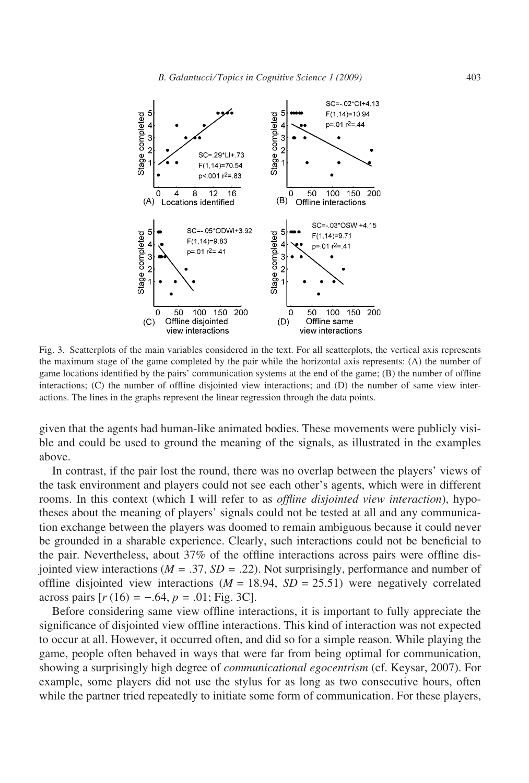

Fig. 3. Scatterplots of the main variables considered in the text. For all scatterplots, the vertical axis represents the maximum stage of the game completed by the pair while the horizontal axis represents: (A) the number of game locations identified by the pairs' communication systems at the end of the game; (B) the number of offline interactions; (C) the number of offline disjointed view interactions; and (D) the number of same view interactions. The lines in the graphs represent the linear regression through the data points.

given that the agents had human-like animated bodies. These movements were publicly visible and could be used to ground the meaning of the signals, as illustrated in the examples above.

In contrast, if the pair lost the round, there was no overlap between the players' views of the task environment and players could not see each other's agents, which were in different rooms. In this context (which I will refer to as *offline disjointed view interaction*), hypotheses about the meaning of players' signals could not be tested at all and any communication exchange between the players was doomed to remain ambiguous because it could never be grounded in a sharable experience. Clearly, such interactions could not be beneficial to the pair. Nevertheless, about 37% of the offline interactions across pairs were offline disjointed view interactions ( $M = .37$ ,  $SD = .22$ ). Not surprisingly, performance and number of offline disjointed view interactions ( $M = 18.94$ ,  $SD = 25.51$ ) were negatively correlated across pairs  $[r (16) = -.64, p = .01; Fig. 3C]$ .

Before considering same view offline interactions, it is important to fully appreciate the significance of disjointed view offline interactions. This kind of interaction was not expected to occur at all. However, it occurred often, and did so for a simple reason. While playing the game, people often behaved in ways that were far from being optimal for communication, showing a surprisingly high degree of communicational egocentrism (cf. Keysar, 2007). For example, some players did not use the stylus for as long as two consecutive hours, often while the partner tried repeatedly to initiate some form of communication. For these players,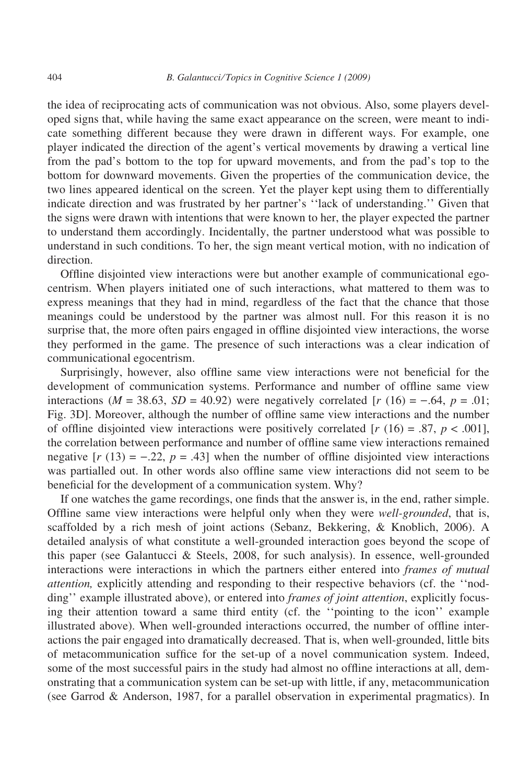the idea of reciprocating acts of communication was not obvious. Also, some players developed signs that, while having the same exact appearance on the screen, were meant to indicate something different because they were drawn in different ways. For example, one player indicated the direction of the agent's vertical movements by drawing a vertical line from the pad's bottom to the top for upward movements, and from the pad's top to the bottom for downward movements. Given the properties of the communication device, the two lines appeared identical on the screen. Yet the player kept using them to differentially indicate direction and was frustrated by her partner's ''lack of understanding.'' Given that the signs were drawn with intentions that were known to her, the player expected the partner to understand them accordingly. Incidentally, the partner understood what was possible to understand in such conditions. To her, the sign meant vertical motion, with no indication of direction.

Offline disjointed view interactions were but another example of communicational egocentrism. When players initiated one of such interactions, what mattered to them was to express meanings that they had in mind, regardless of the fact that the chance that those meanings could be understood by the partner was almost null. For this reason it is no surprise that, the more often pairs engaged in offline disjointed view interactions, the worse they performed in the game. The presence of such interactions was a clear indication of communicational egocentrism.

Surprisingly, however, also offline same view interactions were not beneficial for the development of communication systems. Performance and number of offline same view interactions ( $M = 38.63$ ,  $SD = 40.92$ ) were negatively correlated [ $r (16) = -.64$ ,  $p = .01$ ; Fig. 3D]. Moreover, although the number of offline same view interactions and the number of offline disjointed view interactions were positively correlated [r (16) = .87, p < .001], the correlation between performance and number of offline same view interactions remained negative  $[r (13) = -.22, p = .43]$  when the number of offline disjointed view interactions was partialled out. In other words also offline same view interactions did not seem to be beneficial for the development of a communication system. Why?

If one watches the game recordings, one finds that the answer is, in the end, rather simple. Offline same view interactions were helpful only when they were *well-grounded*, that is, scaffolded by a rich mesh of joint actions (Sebanz, Bekkering, & Knoblich, 2006). A detailed analysis of what constitute a well-grounded interaction goes beyond the scope of this paper (see Galantucci & Steels, 2008, for such analysis). In essence, well-grounded interactions were interactions in which the partners either entered into frames of mutual attention, explicitly attending and responding to their respective behaviors (cf. the ''nodding'' example illustrated above), or entered into frames of joint attention, explicitly focusing their attention toward a same third entity (cf. the ''pointing to the icon'' example illustrated above). When well-grounded interactions occurred, the number of offline interactions the pair engaged into dramatically decreased. That is, when well-grounded, little bits of metacommunication suffice for the set-up of a novel communication system. Indeed, some of the most successful pairs in the study had almost no offline interactions at all, demonstrating that a communication system can be set-up with little, if any, metacommunication (see Garrod & Anderson, 1987, for a parallel observation in experimental pragmatics). In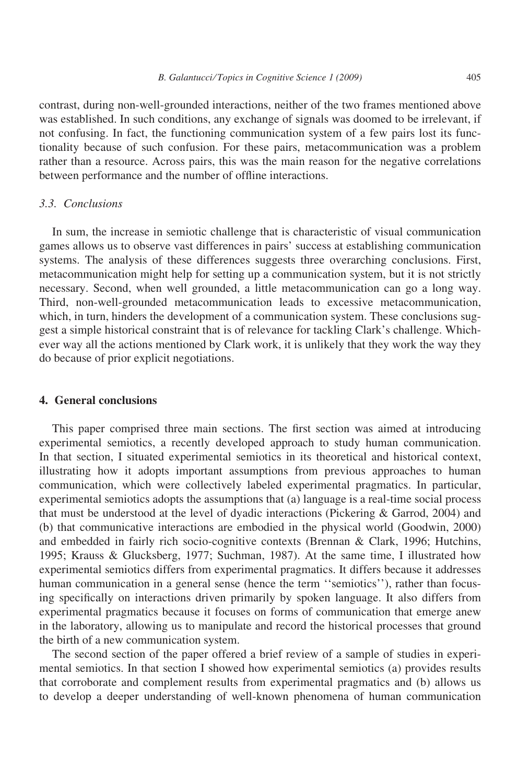contrast, during non-well-grounded interactions, neither of the two frames mentioned above was established. In such conditions, any exchange of signals was doomed to be irrelevant, if not confusing. In fact, the functioning communication system of a few pairs lost its functionality because of such confusion. For these pairs, metacommunication was a problem rather than a resource. Across pairs, this was the main reason for the negative correlations between performance and the number of offline interactions.

#### 3.3. Conclusions

In sum, the increase in semiotic challenge that is characteristic of visual communication games allows us to observe vast differences in pairs' success at establishing communication systems. The analysis of these differences suggests three overarching conclusions. First, metacommunication might help for setting up a communication system, but it is not strictly necessary. Second, when well grounded, a little metacommunication can go a long way. Third, non-well-grounded metacommunication leads to excessive metacommunication, which, in turn, hinders the development of a communication system. These conclusions suggest a simple historical constraint that is of relevance for tackling Clark's challenge. Whichever way all the actions mentioned by Clark work, it is unlikely that they work the way they do because of prior explicit negotiations.

# 4. General conclusions

This paper comprised three main sections. The first section was aimed at introducing experimental semiotics, a recently developed approach to study human communication. In that section, I situated experimental semiotics in its theoretical and historical context, illustrating how it adopts important assumptions from previous approaches to human communication, which were collectively labeled experimental pragmatics. In particular, experimental semiotics adopts the assumptions that (a) language is a real-time social process that must be understood at the level of dyadic interactions (Pickering & Garrod, 2004) and (b) that communicative interactions are embodied in the physical world (Goodwin, 2000) and embedded in fairly rich socio-cognitive contexts (Brennan & Clark, 1996; Hutchins, 1995; Krauss & Glucksberg, 1977; Suchman, 1987). At the same time, I illustrated how experimental semiotics differs from experimental pragmatics. It differs because it addresses human communication in a general sense (hence the term ''semiotics''), rather than focusing specifically on interactions driven primarily by spoken language. It also differs from experimental pragmatics because it focuses on forms of communication that emerge anew in the laboratory, allowing us to manipulate and record the historical processes that ground the birth of a new communication system.

The second section of the paper offered a brief review of a sample of studies in experimental semiotics. In that section I showed how experimental semiotics (a) provides results that corroborate and complement results from experimental pragmatics and (b) allows us to develop a deeper understanding of well-known phenomena of human communication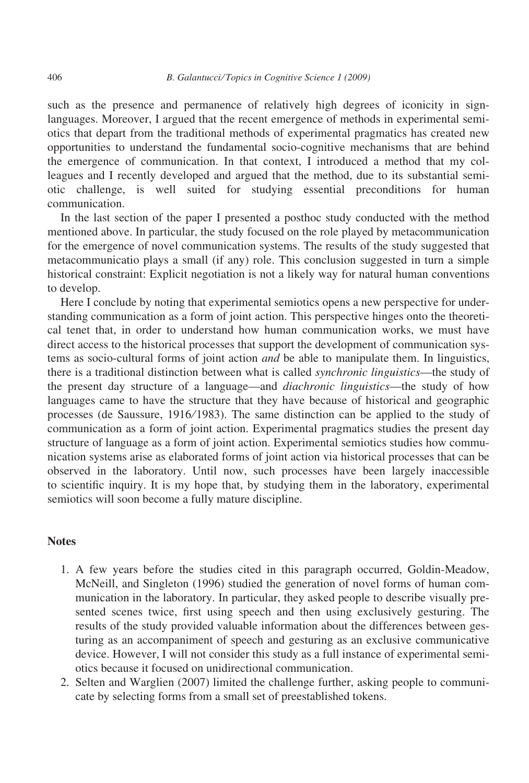such as the presence and permanence of relatively high degrees of iconicity in signlanguages. Moreover, I argued that the recent emergence of methods in experimental semiotics that depart from the traditional methods of experimental pragmatics has created new opportunities to understand the fundamental socio-cognitive mechanisms that are behind the emergence of communication. In that context, I introduced a method that my colleagues and I recently developed and argued that the method, due to its substantial semiotic challenge, is well suited for studying essential preconditions for human communication.

In the last section of the paper I presented a posthoc study conducted with the method mentioned above. In particular, the study focused on the role played by metacommunication for the emergence of novel communication systems. The results of the study suggested that metacommunicatio plays a small (if any) role. This conclusion suggested in turn a simple historical constraint: Explicit negotiation is not a likely way for natural human conventions to develop.

Here I conclude by noting that experimental semiotics opens a new perspective for understanding communication as a form of joint action. This perspective hinges onto the theoretical tenet that, in order to understand how human communication works, we must have direct access to the historical processes that support the development of communication systems as socio-cultural forms of joint action and be able to manipulate them. In linguistics, there is a traditional distinction between what is called *synchronic linguistics*—the study of the present day structure of a language—and diachronic linguistics—the study of how languages came to have the structure that they have because of historical and geographic processes (de Saussure, 1916/1983). The same distinction can be applied to the study of communication as a form of joint action. Experimental pragmatics studies the present day structure of language as a form of joint action. Experimental semiotics studies how communication systems arise as elaborated forms of joint action via historical processes that can be observed in the laboratory. Until now, such processes have been largely inaccessible to scientific inquiry. It is my hope that, by studying them in the laboratory, experimental semiotics will soon become a fully mature discipline.

# **Notes**

- 1. A few years before the studies cited in this paragraph occurred, Goldin-Meadow, McNeill, and Singleton (1996) studied the generation of novel forms of human communication in the laboratory. In particular, they asked people to describe visually presented scenes twice, first using speech and then using exclusively gesturing. The results of the study provided valuable information about the differences between gesturing as an accompaniment of speech and gesturing as an exclusive communicative device. However, I will not consider this study as a full instance of experimental semiotics because it focused on unidirectional communication.
- 2. Selten and Warglien (2007) limited the challenge further, asking people to communicate by selecting forms from a small set of preestablished tokens.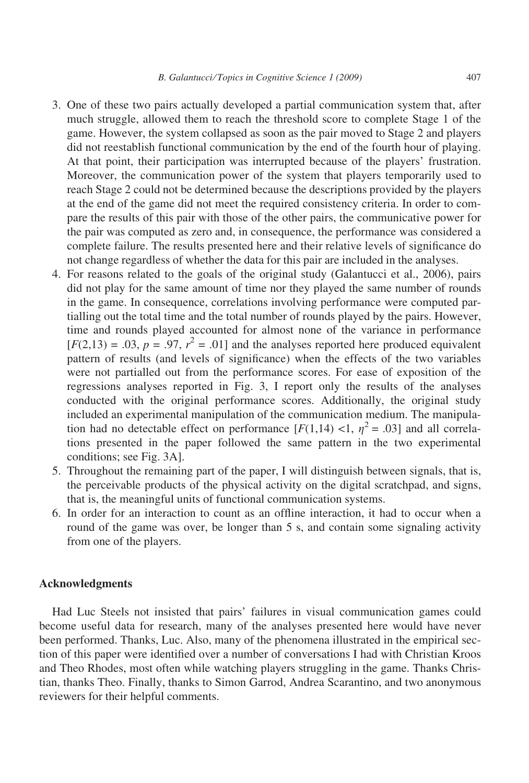- 3. One of these two pairs actually developed a partial communication system that, after much struggle, allowed them to reach the threshold score to complete Stage 1 of the game. However, the system collapsed as soon as the pair moved to Stage 2 and players did not reestablish functional communication by the end of the fourth hour of playing. At that point, their participation was interrupted because of the players' frustration. Moreover, the communication power of the system that players temporarily used to reach Stage 2 could not be determined because the descriptions provided by the players at the end of the game did not meet the required consistency criteria. In order to compare the results of this pair with those of the other pairs, the communicative power for the pair was computed as zero and, in consequence, the performance was considered a complete failure. The results presented here and their relative levels of significance do not change regardless of whether the data for this pair are included in the analyses.
- 4. For reasons related to the goals of the original study (Galantucci et al., 2006), pairs did not play for the same amount of time nor they played the same number of rounds in the game. In consequence, correlations involving performance were computed partialling out the total time and the total number of rounds played by the pairs. However, time and rounds played accounted for almost none of the variance in performance  $[F(2,13) = .03, p = .97, r<sup>2</sup> = .01]$  and the analyses reported here produced equivalent pattern of results (and levels of significance) when the effects of the two variables were not partialled out from the performance scores. For ease of exposition of the regressions analyses reported in Fig. 3, I report only the results of the analyses conducted with the original performance scores. Additionally, the original study included an experimental manipulation of the communication medium. The manipulation had no detectable effect on performance  $[F(1,14) < 1, \eta^2 = .03]$  and all correlations presented in the paper followed the same pattern in the two experimental conditions; see Fig. 3A].
- 5. Throughout the remaining part of the paper, I will distinguish between signals, that is, the perceivable products of the physical activity on the digital scratchpad, and signs, that is, the meaningful units of functional communication systems.
- 6. In order for an interaction to count as an offline interaction, it had to occur when a round of the game was over, be longer than 5 s, and contain some signaling activity from one of the players.

# Acknowledgments

Had Luc Steels not insisted that pairs' failures in visual communication games could become useful data for research, many of the analyses presented here would have never been performed. Thanks, Luc. Also, many of the phenomena illustrated in the empirical section of this paper were identified over a number of conversations I had with Christian Kroos and Theo Rhodes, most often while watching players struggling in the game. Thanks Christian, thanks Theo. Finally, thanks to Simon Garrod, Andrea Scarantino, and two anonymous reviewers for their helpful comments.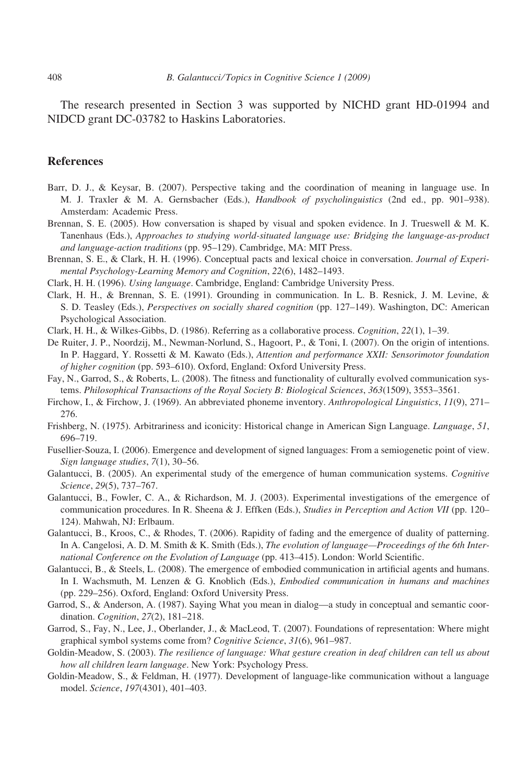The research presented in Section 3 was supported by NICHD grant HD-01994 and NIDCD grant DC-03782 to Haskins Laboratories.

# **References**

- Barr, D. J., & Keysar, B. (2007). Perspective taking and the coordination of meaning in language use. In M. J. Traxler & M. A. Gernsbacher (Eds.), Handbook of psycholinguistics (2nd ed., pp. 901–938). Amsterdam: Academic Press.
- Brennan, S. E. (2005). How conversation is shaped by visual and spoken evidence. In J. Trueswell & M. K. Tanenhaus (Eds.), Approaches to studying world-situated language use: Bridging the language-as-product and language-action traditions (pp. 95–129). Cambridge, MA: MIT Press.
- Brennan, S. E., & Clark, H. H. (1996). Conceptual pacts and lexical choice in conversation. Journal of Experimental Psychology-Learning Memory and Cognition, 22(6), 1482–1493.
- Clark, H. H. (1996). Using language. Cambridge, England: Cambridge University Press.
- Clark, H. H., & Brennan, S. E. (1991). Grounding in communication. In L. B. Resnick, J. M. Levine, & S. D. Teasley (Eds.), Perspectives on socially shared cognition (pp. 127–149). Washington, DC: American Psychological Association.
- Clark, H. H., & Wilkes-Gibbs, D. (1986). Referring as a collaborative process. Cognition, 22(1), 1–39.
- De Ruiter, J. P., Noordzij, M., Newman-Norlund, S., Hagoort, P., & Toni, I. (2007). On the origin of intentions. In P. Haggard, Y. Rossetti & M. Kawato (Eds.), Attention and performance XXII: Sensorimotor foundation of higher cognition (pp. 593–610). Oxford, England: Oxford University Press.
- Fay, N., Garrod, S., & Roberts, L. (2008). The fitness and functionality of culturally evolved communication systems. Philosophical Transactions of the Royal Society B: Biological Sciences, 363(1509), 3553–3561.
- Firchow, I., & Firchow, J. (1969). An abbreviated phoneme inventory. Anthropological Linguistics, 11(9), 271– 276.
- Frishberg, N. (1975). Arbitrariness and iconicity: Historical change in American Sign Language. Language, 51, 696–719.
- Fusellier-Souza, I. (2006). Emergence and development of signed languages: From a semiogenetic point of view. Sign language studies, 7(1), 30–56.
- Galantucci, B. (2005). An experimental study of the emergence of human communication systems. Cognitive Science, 29(5), 737–767.
- Galantucci, B., Fowler, C. A., & Richardson, M. J. (2003). Experimental investigations of the emergence of communication procedures. In R. Sheena & J. Effken (Eds.), Studies in Perception and Action VII (pp. 120– 124). Mahwah, NJ: Erlbaum.
- Galantucci, B., Kroos, C., & Rhodes, T. (2006). Rapidity of fading and the emergence of duality of patterning. In A. Cangelosi, A. D. M. Smith & K. Smith (Eds.), The evolution of language—Proceedings of the 6th International Conference on the Evolution of Language (pp. 413–415). London: World Scientific.
- Galantucci, B., & Steels, L. (2008). The emergence of embodied communication in artificial agents and humans. In I. Wachsmuth, M. Lenzen & G. Knoblich (Eds.), *Embodied communication in humans and machines* (pp. 229–256). Oxford, England: Oxford University Press.
- Garrod, S., & Anderson, A. (1987). Saying What you mean in dialog—a study in conceptual and semantic coordination. Cognition, 27(2), 181–218.
- Garrod, S., Fay, N., Lee, J., Oberlander, J., & MacLeod, T. (2007). Foundations of representation: Where might graphical symbol systems come from? Cognitive Science, 31(6), 961–987.
- Goldin-Meadow, S. (2003). The resilience of language: What gesture creation in deaf children can tell us about how all children learn language. New York: Psychology Press.
- Goldin-Meadow, S., & Feldman, H. (1977). Development of language-like communication without a language model. Science, 197(4301), 401–403.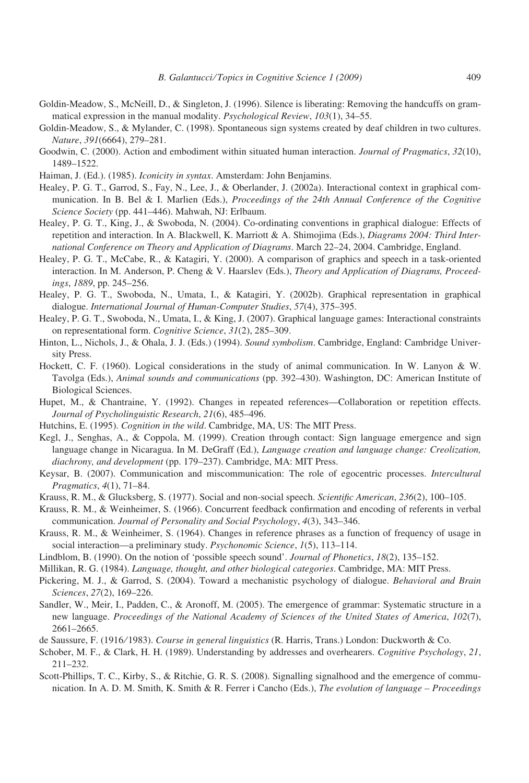- Goldin-Meadow, S., McNeill, D., & Singleton, J. (1996). Silence is liberating: Removing the handcuffs on grammatical expression in the manual modality. Psychological Review, 103(1), 34–55.
- Goldin-Meadow, S., & Mylander, C. (1998). Spontaneous sign systems created by deaf children in two cultures. Nature, 391(6664), 279–281.
- Goodwin, C. (2000). Action and embodiment within situated human interaction. Journal of Pragmatics, 32(10), 1489–1522.
- Haiman, J. (Ed.). (1985). Iconicity in syntax. Amsterdam: John Benjamins.
- Healey, P. G. T., Garrod, S., Fay, N., Lee, J., & Oberlander, J. (2002a). Interactional context in graphical communication. In B. Bel & I. Marlien (Eds.), Proceedings of the 24th Annual Conference of the Cognitive Science Society (pp. 441–446). Mahwah, NJ: Erlbaum.
- Healey, P. G. T., King, J., & Swoboda, N. (2004). Co-ordinating conventions in graphical dialogue: Effects of repetition and interaction. In A. Blackwell, K. Marriott & A. Shimojima (Eds.), Diagrams 2004: Third International Conference on Theory and Application of Diagrams. March 22–24, 2004. Cambridge, England.
- Healey, P. G. T., McCabe, R., & Katagiri, Y. (2000). A comparison of graphics and speech in a task-oriented interaction. In M. Anderson, P. Cheng & V. Haarslev (Eds.), Theory and Application of Diagrams, Proceedings, 1889, pp. 245–256.
- Healey, P. G. T., Swoboda, N., Umata, I., & Katagiri, Y. (2002b). Graphical representation in graphical dialogue. International Journal of Human-Computer Studies, 57(4), 375–395.
- Healey, P. G. T., Swoboda, N., Umata, I., & King, J. (2007). Graphical language games: Interactional constraints on representational form. Cognitive Science, 31(2), 285–309.
- Hinton, L., Nichols, J., & Ohala, J. J. (Eds.) (1994). Sound symbolism. Cambridge, England: Cambridge University Press.
- Hockett, C. F. (1960). Logical considerations in the study of animal communication. In W. Lanyon & W. Tavolga (Eds.), Animal sounds and communications (pp. 392–430). Washington, DC: American Institute of Biological Sciences.
- Hupet, M., & Chantraine, Y. (1992). Changes in repeated references—Collaboration or repetition effects. Journal of Psycholinguistic Research, 21(6), 485–496.
- Hutchins, E. (1995). Cognition in the wild. Cambridge, MA, US: The MIT Press.
- Kegl, J., Senghas, A., & Coppola, M. (1999). Creation through contact: Sign language emergence and sign language change in Nicaragua. In M. DeGraff (Ed.), Language creation and language change: Creolization, diachrony, and development (pp. 179–237). Cambridge, MA: MIT Press.
- Keysar, B. (2007). Communication and miscommunication: The role of egocentric processes. Intercultural Pragmatics, 4(1), 71–84.
- Krauss, R. M., & Glucksberg, S. (1977). Social and non-social speech. Scientific American, 236(2), 100–105.
- Krauss, R. M., & Weinheimer, S. (1966). Concurrent feedback confirmation and encoding of referents in verbal communication. Journal of Personality and Social Psychology, 4(3), 343–346.
- Krauss, R. M., & Weinheimer, S. (1964). Changes in reference phrases as a function of frequency of usage in social interaction—a preliminary study. *Psychonomic Science*, 1(5), 113–114.
- Lindblom, B. (1990). On the notion of 'possible speech sound'. Journal of Phonetics, 18(2), 135–152.
- Millikan, R. G. (1984). Language, thought, and other biological categories. Cambridge, MA: MIT Press.
- Pickering, M. J., & Garrod, S. (2004). Toward a mechanistic psychology of dialogue. Behavioral and Brain Sciences, 27(2), 169–226.
- Sandler, W., Meir, I., Padden, C., & Aronoff, M. (2005). The emergence of grammar: Systematic structure in a new language. Proceedings of the National Academy of Sciences of the United States of America, 102(7), 2661–2665.
- de Saussure, F. (1916/1983). Course in general linguistics (R. Harris, Trans.) London: Duckworth & Co.
- Schober, M. F., & Clark, H. H. (1989). Understanding by addresses and overhearers. Cognitive Psychology, 21, 211–232.
- Scott-Phillips, T. C., Kirby, S., & Ritchie, G. R. S. (2008). Signalling signalhood and the emergence of communication. In A. D. M. Smith, K. Smith & R. Ferrer i Cancho (Eds.), The evolution of language – Proceedings